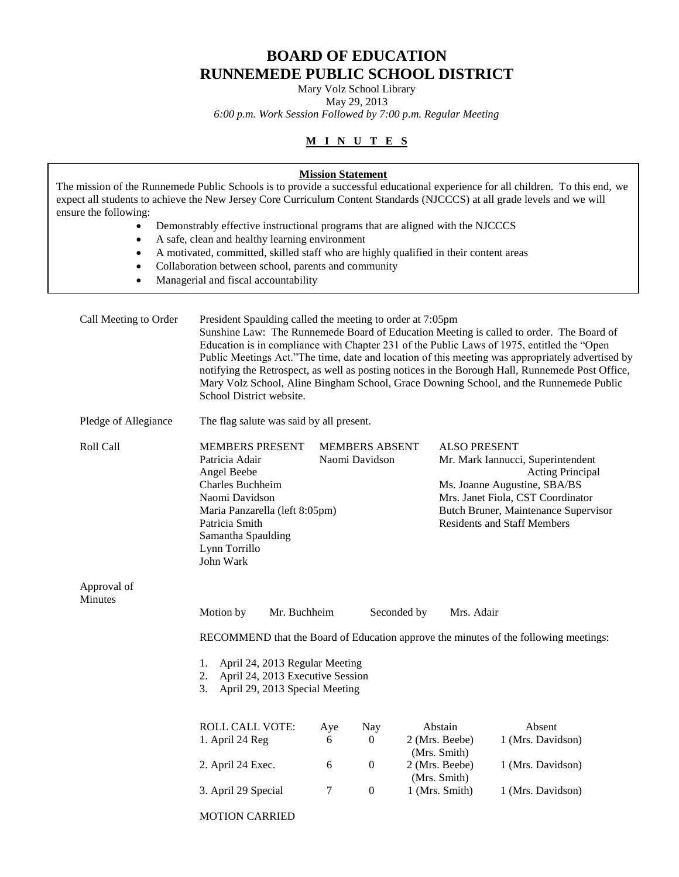# **BOARD OF EDUCATION RUNNEMEDE PUBLIC SCHOOL DISTRICT**

Mary Volz School Library

May 29, 2013 *6:00 p.m. Work Session Followed by 7:00 p.m. Regular Meeting*

# **M I N U T E S**

| expect all students to achieve the New Jersey Core Curriculum Content Standards (NJCCCS) at all grade levels and we will<br>ensure the following:<br>$\bullet$<br>$\bullet$<br>٠<br>$\bullet$<br>$\bullet$ | Demonstrably effective instructional programs that are aligned with the NJCCCS<br>A safe, clean and healthy learning environment<br>A motivated, committed, skilled staff who are highly qualified in their content areas<br>Collaboration between school, parents and community<br>Managerial and fiscal accountability                                                                                                                                                                                                                                                         | <b>Mission Statement</b> |                  |                                                                                                                                                                                                                                        | The mission of the Runnemede Public Schools is to provide a successful educational experience for all children. To this end, we |
|------------------------------------------------------------------------------------------------------------------------------------------------------------------------------------------------------------|----------------------------------------------------------------------------------------------------------------------------------------------------------------------------------------------------------------------------------------------------------------------------------------------------------------------------------------------------------------------------------------------------------------------------------------------------------------------------------------------------------------------------------------------------------------------------------|--------------------------|------------------|----------------------------------------------------------------------------------------------------------------------------------------------------------------------------------------------------------------------------------------|---------------------------------------------------------------------------------------------------------------------------------|
| Call Meeting to Order                                                                                                                                                                                      | President Spaulding called the meeting to order at 7:05pm<br>Sunshine Law: The Runnemede Board of Education Meeting is called to order. The Board of<br>Education is in compliance with Chapter 231 of the Public Laws of 1975, entitled the "Open<br>Public Meetings Act."The time, date and location of this meeting was appropriately advertised by<br>notifying the Retrospect, as well as posting notices in the Borough Hall, Runnemede Post Office,<br>Mary Volz School, Aline Bingham School, Grace Downing School, and the Runnemede Public<br>School District website. |                          |                  |                                                                                                                                                                                                                                        |                                                                                                                                 |
| Pledge of Allegiance                                                                                                                                                                                       | The flag salute was said by all present.                                                                                                                                                                                                                                                                                                                                                                                                                                                                                                                                         |                          |                  |                                                                                                                                                                                                                                        |                                                                                                                                 |
| Roll Call                                                                                                                                                                                                  | <b>MEMBERS PRESENT</b><br><b>MEMBERS ABSENT</b><br>Naomi Davidson<br>Patricia Adair<br>Angel Beebe<br><b>Charles Buchheim</b><br>Naomi Davidson<br>Maria Panzarella (left 8:05pm)<br>Patricia Smith<br>Samantha Spaulding<br>Lynn Torrillo<br>John Wark                                                                                                                                                                                                                                                                                                                          |                          |                  | <b>ALSO PRESENT</b><br>Mr. Mark Iannucci, Superintendent<br><b>Acting Principal</b><br>Ms. Joanne Augustine, SBA/BS<br>Mrs. Janet Fiola, CST Coordinator<br>Butch Bruner, Maintenance Supervisor<br><b>Residents and Staff Members</b> |                                                                                                                                 |
| Approval of<br>Minutes                                                                                                                                                                                     |                                                                                                                                                                                                                                                                                                                                                                                                                                                                                                                                                                                  |                          |                  |                                                                                                                                                                                                                                        |                                                                                                                                 |
|                                                                                                                                                                                                            | Motion by<br>Mr. Buchheim                                                                                                                                                                                                                                                                                                                                                                                                                                                                                                                                                        |                          |                  | Seconded by<br>Mrs. Adair                                                                                                                                                                                                              |                                                                                                                                 |
|                                                                                                                                                                                                            |                                                                                                                                                                                                                                                                                                                                                                                                                                                                                                                                                                                  |                          |                  |                                                                                                                                                                                                                                        | RECOMMEND that the Board of Education approve the minutes of the following meetings:                                            |
|                                                                                                                                                                                                            | April 24, 2013 Regular Meeting<br>1.<br>April 24, 2013 Executive Session<br>2.<br>April 29, 2013 Special Meeting<br>3.                                                                                                                                                                                                                                                                                                                                                                                                                                                           |                          |                  |                                                                                                                                                                                                                                        |                                                                                                                                 |
|                                                                                                                                                                                                            | ROLL CALL VOTE:<br>1. April 24 Reg                                                                                                                                                                                                                                                                                                                                                                                                                                                                                                                                               | Aye<br>6                 | Nay<br>0         | Abstain<br>2 (Mrs. Beebe)<br>(Mrs. Smith)                                                                                                                                                                                              | Absent<br>1 (Mrs. Davidson)                                                                                                     |
|                                                                                                                                                                                                            | 2. April 24 Exec.                                                                                                                                                                                                                                                                                                                                                                                                                                                                                                                                                                | 6                        | $\boldsymbol{0}$ | 2 (Mrs. Beebe)<br>(Mrs. Smith)                                                                                                                                                                                                         | 1 (Mrs. Davidson)                                                                                                               |
|                                                                                                                                                                                                            | 3. April 29 Special                                                                                                                                                                                                                                                                                                                                                                                                                                                                                                                                                              | 7                        | $\boldsymbol{0}$ | 1 (Mrs. Smith)                                                                                                                                                                                                                         | 1 (Mrs. Davidson)                                                                                                               |
|                                                                                                                                                                                                            | <b>MOTION CARRIED</b>                                                                                                                                                                                                                                                                                                                                                                                                                                                                                                                                                            |                          |                  |                                                                                                                                                                                                                                        |                                                                                                                                 |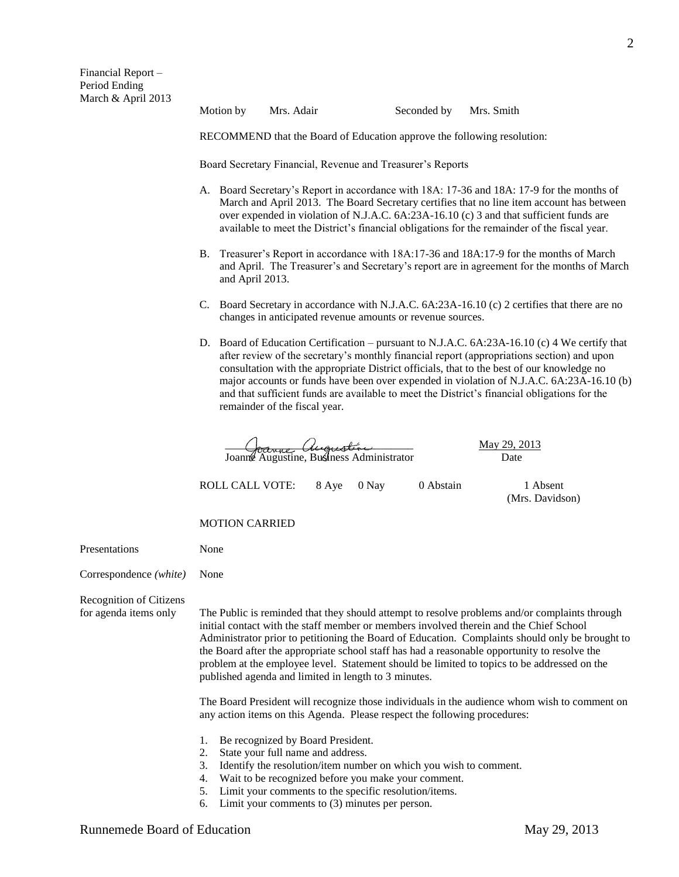Motion by Mrs. Adair Seconded by Mrs. Smith

RECOMMEND that the Board of Education approve the following resolution:

Board Secretary Financial, Revenue and Treasurer's Reports

- A. Board Secretary's Report in accordance with 18A: 17-36 and 18A: 17-9 for the months of March and April 2013. The Board Secretary certifies that no line item account has between over expended in violation of N.J.A.C. 6A:23A-16.10 (c) 3 and that sufficient funds are available to meet the District's financial obligations for the remainder of the fiscal year.
- B. Treasurer's Report in accordance with 18A:17-36 and 18A:17-9 for the months of March and April. The Treasurer's and Secretary's report are in agreement for the months of March and April 2013.
- C. Board Secretary in accordance with N.J.A.C. 6A:23A-16.10 (c) 2 certifies that there are no changes in anticipated revenue amounts or revenue sources.
- D. Board of Education Certification pursuant to N.J.A.C. 6A:23A-16.10 (c) 4 We certify that after review of the secretary's monthly financial report (appropriations section) and upon consultation with the appropriate District officials, that to the best of our knowledge no major accounts or funds have been over expended in violation of N.J.A.C. 6A:23A-16.10 (b) and that sufficient funds are available to meet the District's financial obligations for the remainder of the fiscal year.

 $\frac{May 29,2013}{\sqrt{1-\frac{1}{2}}$ Joanne Augustine, Business Administrator Date

ROLL CALL VOTE: 8 Aye 0 Nay 0 Abstain 1 Absent

(Mrs. Davidson)

MOTION CARRIED

Presentations None

Correspondence *(white)* None

Recognition of Citizens

for agenda items only The Public is reminded that they should attempt to resolve problems and/or complaints through initial contact with the staff member or members involved therein and the Chief School Administrator prior to petitioning the Board of Education. Complaints should only be brought to the Board after the appropriate school staff has had a reasonable opportunity to resolve the problem at the employee level. Statement should be limited to topics to be addressed on the published agenda and limited in length to 3 minutes.

> The Board President will recognize those individuals in the audience whom wish to comment on any action items on this Agenda. Please respect the following procedures:

- 1. Be recognized by Board President.
- 2. State your full name and address.
- 3. Identify the resolution/item number on which you wish to comment.
- 4. Wait to be recognized before you make your comment.
- 5. Limit your comments to the specific resolution/items.
- 6. Limit your comments to (3) minutes per person.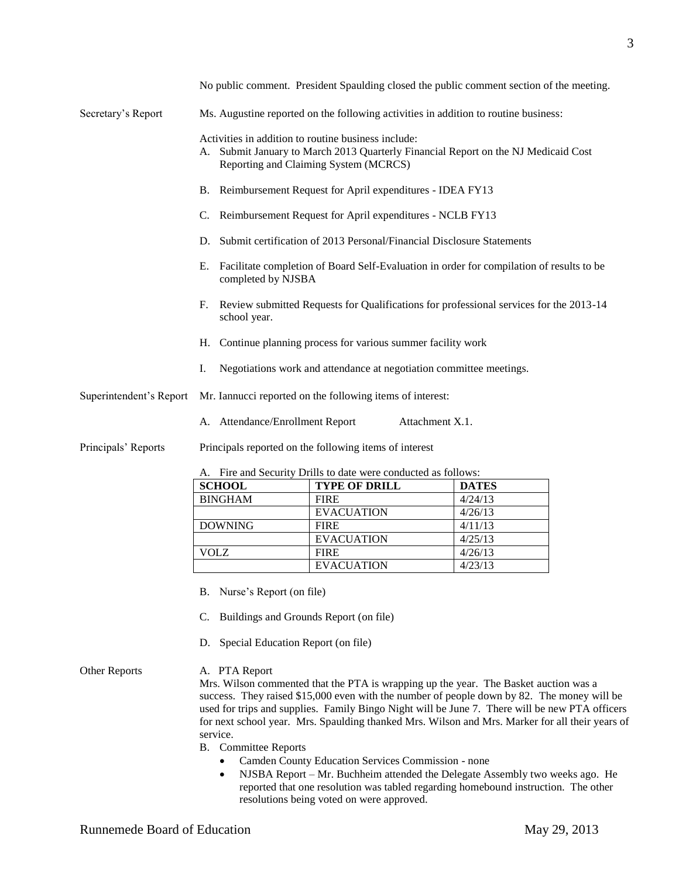|                         |                                                                                                                                                                                       |                                                                       | No public comment. President Spaulding closed the public comment section of the meeting. |  |  |  |
|-------------------------|---------------------------------------------------------------------------------------------------------------------------------------------------------------------------------------|-----------------------------------------------------------------------|------------------------------------------------------------------------------------------|--|--|--|
| Secretary's Report      | Ms. Augustine reported on the following activities in addition to routine business:                                                                                                   |                                                                       |                                                                                          |  |  |  |
|                         | Activities in addition to routine business include:<br>Submit January to March 2013 Quarterly Financial Report on the NJ Medicaid Cost<br>А.<br>Reporting and Claiming System (MCRCS) |                                                                       |                                                                                          |  |  |  |
|                         |                                                                                                                                                                                       | B. Reimbursement Request for April expenditures - IDEA FY13           |                                                                                          |  |  |  |
|                         | C.                                                                                                                                                                                    | Reimbursement Request for April expenditures - NCLB FY13              |                                                                                          |  |  |  |
|                         | D.                                                                                                                                                                                    | Submit certification of 2013 Personal/Financial Disclosure Statements |                                                                                          |  |  |  |
|                         | Facilitate completion of Board Self-Evaluation in order for compilation of results to be<br>Е.<br>completed by NJSBA                                                                  |                                                                       |                                                                                          |  |  |  |
|                         | Review submitted Requests for Qualifications for professional services for the 2013-14<br>F.<br>school year.                                                                          |                                                                       |                                                                                          |  |  |  |
|                         | H. Continue planning process for various summer facility work                                                                                                                         |                                                                       |                                                                                          |  |  |  |
|                         | Negotiations work and attendance at negotiation committee meetings.<br>Ι.                                                                                                             |                                                                       |                                                                                          |  |  |  |
| Superintendent's Report | Mr. Iannucci reported on the following items of interest:                                                                                                                             |                                                                       |                                                                                          |  |  |  |
|                         | A. Attendance/Enrollment Report                                                                                                                                                       | Attachment X.1.                                                       |                                                                                          |  |  |  |
| Principals' Reports     | Principals reported on the following items of interest                                                                                                                                |                                                                       |                                                                                          |  |  |  |
|                         | A. Fire and Security Drills to date were conducted as follows:                                                                                                                        |                                                                       |                                                                                          |  |  |  |
|                         | <b>SCHOOL</b>                                                                                                                                                                         | <b>TYPE OF DRILL</b>                                                  | <b>DATES</b>                                                                             |  |  |  |
|                         | <b>BINGHAM</b>                                                                                                                                                                        | <b>FIRE</b>                                                           | 4/24/13                                                                                  |  |  |  |
|                         |                                                                                                                                                                                       | <b>EVACUATION</b>                                                     | 4/26/13                                                                                  |  |  |  |
|                         | <b>DOWNING</b>                                                                                                                                                                        | <b>FIRE</b>                                                           | 4/11/13                                                                                  |  |  |  |
|                         |                                                                                                                                                                                       |                                                                       |                                                                                          |  |  |  |

- B. Nurse's Report (on file)
- C. Buildings and Grounds Report (on file)
- D. Special Education Report (on file)

# Other Reports A. PTA Report

Mrs. Wilson commented that the PTA is wrapping up the year. The Basket auction was a success. They raised \$15,000 even with the number of people down by 82. The money will be used for trips and supplies. Family Bingo Night will be June 7. There will be new PTA officers for next school year. Mrs. Spaulding thanked Mrs. Wilson and Mrs. Marker for all their years of service.

EVACUATION 4/25/13

EVACUATION 4/23/13

B. Committee Reports

Camden County Education Services Commission - none

VOLZ FIRE 4/26/13

• NJSBA Report – Mr. Buchheim attended the Delegate Assembly two weeks ago. He reported that one resolution was tabled regarding homebound instruction. The other resolutions being voted on were approved.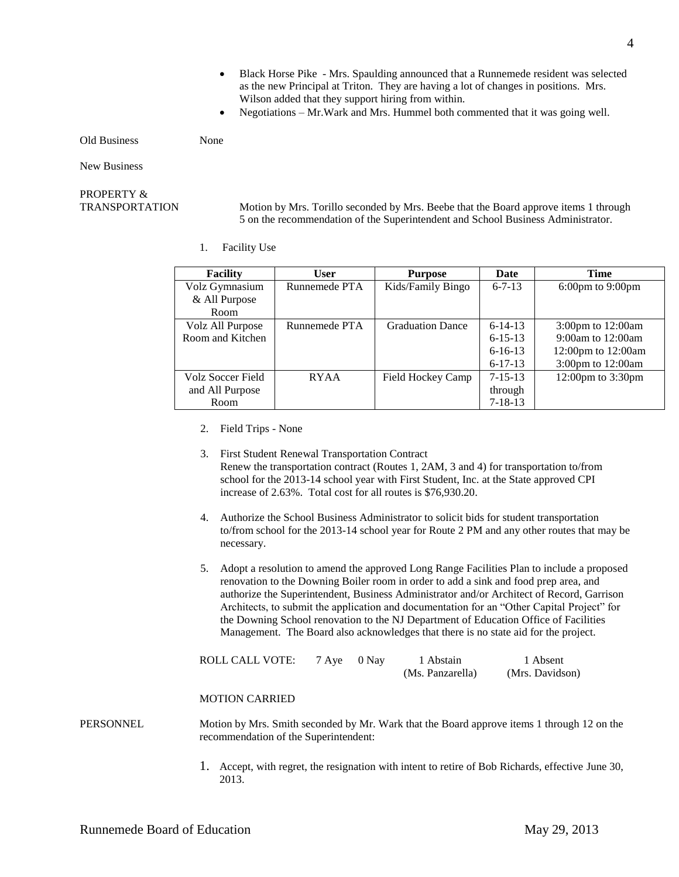- Black Horse Pike Mrs. Spaulding announced that a Runnemede resident was selected as the new Principal at Triton. They are having a lot of changes in positions. Mrs. Wilson added that they support hiring from within.
- Negotiations Mr.Wark and Mrs. Hummel both commented that it was going well.

Old Business None

New Business

# PROPERTY &

TRANSPORTATION Motion by Mrs. Torillo seconded by Mrs. Beebe that the Board approve items 1 through 5 on the recommendation of the Superintendent and School Business Administrator.

1. Facility Use

| <b>Facility</b>   | User          | <b>Purpose</b>          | Date          | <b>Time</b>                           |
|-------------------|---------------|-------------------------|---------------|---------------------------------------|
| Volz Gymnasium    | Runnemede PTA | Kids/Family Bingo       | $6 - 7 - 13$  | $6:00 \text{pm}$ to $9:00 \text{pm}$  |
| & All Purpose     |               |                         |               |                                       |
| Room              |               |                         |               |                                       |
| Volz All Purpose  | Runnemede PTA | <b>Graduation Dance</b> | $6-14-13$     | $3:00 \text{pm}$ to $12:00 \text{am}$ |
| Room and Kitchen  |               |                         | $6 - 15 - 13$ | 9:00am to $12:00$ am                  |
|                   |               |                         | $6 - 16 - 13$ | 12:00pm to $12:00$ am                 |
|                   |               |                         | $6 - 17 - 13$ | 3:00pm to 12:00am                     |
| Volz Soccer Field | <b>RYAA</b>   | Field Hockey Camp       | $7 - 15 - 13$ | $12:00 \text{pm}$ to $3:30 \text{pm}$ |
| and All Purpose   |               |                         | through       |                                       |
| Room              |               |                         | $7 - 18 - 13$ |                                       |

- 2. Field Trips None
- 3. First Student Renewal Transportation Contract Renew the transportation contract (Routes 1, 2AM, 3 and 4) for transportation to/from school for the 2013-14 school year with First Student, Inc. at the State approved CPI increase of 2.63%. Total cost for all routes is \$76,930.20.
- 4. Authorize the School Business Administrator to solicit bids for student transportation to/from school for the 2013-14 school year for Route 2 PM and any other routes that may be necessary.
- 5. Adopt a resolution to amend the approved Long Range Facilities Plan to include a proposed renovation to the Downing Boiler room in order to add a sink and food prep area, and authorize the Superintendent, Business Administrator and/or Architect of Record, Garrison Architects, to submit the application and documentation for an "Other Capital Project" for the Downing School renovation to the NJ Department of Education Office of Facilities Management. The Board also acknowledges that there is no state aid for the project.

| ROLL CALL VOTE: | 7 Aye 0 Nay | 1 Abstain        | 1 Absent        |
|-----------------|-------------|------------------|-----------------|
|                 |             | (Ms. Panzarella) | (Mrs. Davidson) |

#### MOTION CARRIED

- PERSONNEL Motion by Mrs. Smith seconded by Mr. Wark that the Board approve items 1 through 12 on the recommendation of the Superintendent:
	- 1. Accept, with regret, the resignation with intent to retire of Bob Richards, effective June 30, 2013.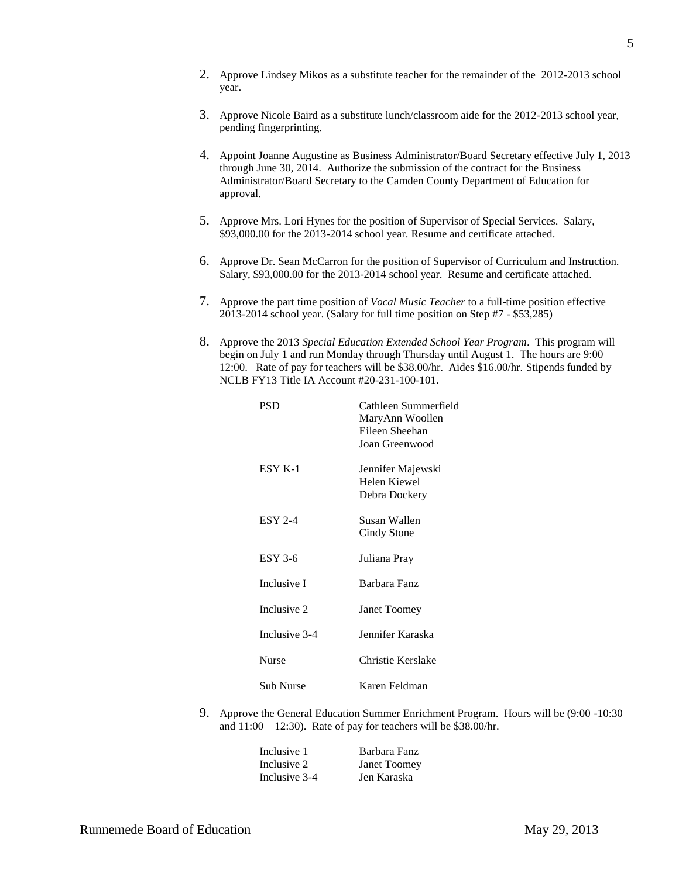- 2. Approve Lindsey Mikos as a substitute teacher for the remainder of the 2012-2013 school year.
- 3. Approve Nicole Baird as a substitute lunch/classroom aide for the 2012-2013 school year, pending fingerprinting.
- 4. Appoint Joanne Augustine as Business Administrator/Board Secretary effective July 1, 2013 through June 30, 2014. Authorize the submission of the contract for the Business Administrator/Board Secretary to the Camden County Department of Education for approval.
- 5. Approve Mrs. Lori Hynes for the position of Supervisor of Special Services. Salary, \$93,000.00 for the 2013-2014 school year. Resume and certificate attached.
- 6. Approve Dr. Sean McCarron for the position of Supervisor of Curriculum and Instruction. Salary, \$93,000.00 for the 2013-2014 school year. Resume and certificate attached.
- 7. Approve the part time position of *Vocal Music Teacher* to a full-time position effective 2013-2014 school year. (Salary for full time position on Step #7 - \$53,285)
- 8. Approve the 2013 *Special Education Extended School Year Program*. This program will begin on July 1 and run Monday through Thursday until August 1. The hours are 9:00 – 12:00. Rate of pay for teachers will be \$38.00/hr. Aides \$16.00/hr. Stipends funded by NCLB FY13 Title IA Account #20-231-100-101.

| PSD            | Cathleen Summerfield<br>MaryAnn Woollen<br>Eileen Sheehan<br>Joan Greenwood |
|----------------|-----------------------------------------------------------------------------|
| ESY K-1        | Jennifer Majewski<br>Helen Kiewel<br>Debra Dockery                          |
| <b>ESY 2-4</b> | Susan Wallen<br>Cindy Stone                                                 |
| $ESY$ 3-6      | Juliana Pray                                                                |
| Inclusive I    | Barbara Fanz                                                                |
| Inclusive 2    | Janet Toomey                                                                |
| Inclusive 3-4  | Jennifer Karaska                                                            |
| <b>Nurse</b>   | Christie Kerslake                                                           |
| Sub Nurse      | Karen Feldman                                                               |

9. Approve the General Education Summer Enrichment Program. Hours will be (9:00 -10:30 and  $11:00 - 12:30$ . Rate of pay for teachers will be \$38.00/hr.

| Inclusive 1   | Barbara Fanz        |
|---------------|---------------------|
| Inclusive 2   | <b>Janet Toomey</b> |
| Inclusive 3-4 | Jen Karaska         |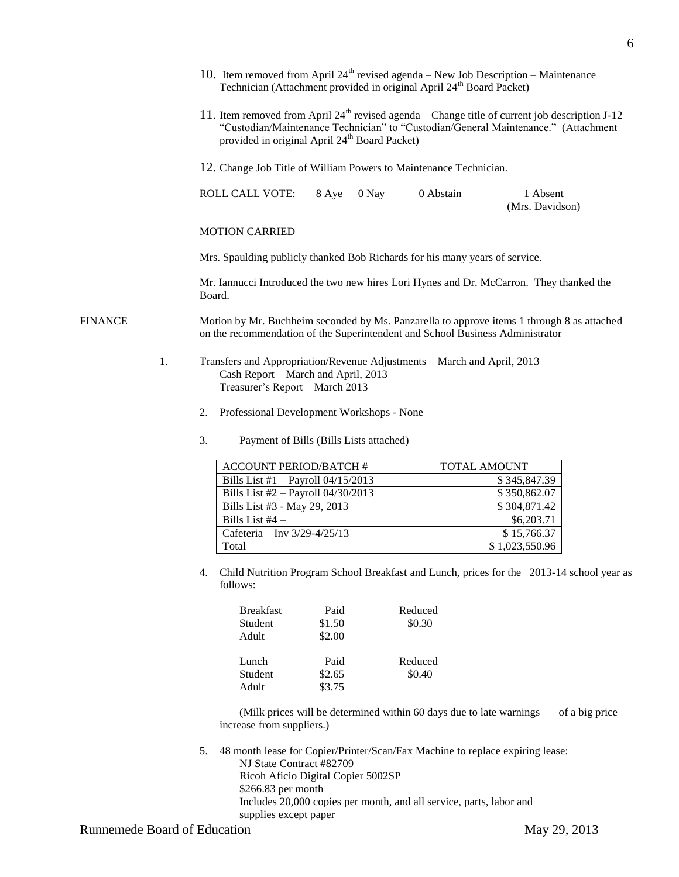|                                               |                                                 | 10. Item removed from April $24^{th}$ revised agenda – New Job Description – Maintenance<br>Technician (Attachment provided in original April 24 <sup>th</sup> Board Packet)                                                                        |              |                               |  |  |
|-----------------------------------------------|-------------------------------------------------|-----------------------------------------------------------------------------------------------------------------------------------------------------------------------------------------------------------------------------------------------------|--------------|-------------------------------|--|--|
|                                               |                                                 | 11. Item removed from April $24th$ revised agenda – Change title of current job description J-12<br>"Custodian/Maintenance Technician" to "Custodian/General Maintenance." (Attachment<br>provided in original April 24 <sup>th</sup> Board Packet) |              |                               |  |  |
|                                               |                                                 | 12. Change Job Title of William Powers to Maintenance Technician.                                                                                                                                                                                   |              |                               |  |  |
|                                               |                                                 | <b>ROLL CALL VOTE:</b><br>8 Aye<br>0 Nay                                                                                                                                                                                                            | 0 Abstain    | 1 Absent<br>(Mrs. Davidson)   |  |  |
|                                               |                                                 | <b>MOTION CARRIED</b>                                                                                                                                                                                                                               |              |                               |  |  |
|                                               |                                                 | Mrs. Spaulding publicly thanked Bob Richards for his many years of service.                                                                                                                                                                         |              |                               |  |  |
|                                               |                                                 | Mr. Iannucci Introduced the two new hires Lori Hynes and Dr. McCarron. They thanked the<br>Board.                                                                                                                                                   |              |                               |  |  |
| <b>FINANCE</b>                                |                                                 | Motion by Mr. Buchheim seconded by Ms. Panzarella to approve items 1 through 8 as attached<br>on the recommendation of the Superintendent and School Business Administrator                                                                         |              |                               |  |  |
|                                               | 1.                                              | Transfers and Appropriation/Revenue Adjustments - March and April, 2013<br>Cash Report - March and April, 2013<br>Treasurer's Report - March 2013                                                                                                   |              |                               |  |  |
|                                               | Professional Development Workshops - None<br>2. |                                                                                                                                                                                                                                                     |              |                               |  |  |
| 3.<br>Payment of Bills (Bills Lists attached) |                                                 |                                                                                                                                                                                                                                                     |              |                               |  |  |
|                                               |                                                 | <b>ACCOUNT PERIOD/BATCH #</b>                                                                                                                                                                                                                       | TOTAL AMOUNT |                               |  |  |
|                                               |                                                 | Bills List $#1 -$ Payroll 04/15/2013                                                                                                                                                                                                                |              | \$345,847.39                  |  |  |
|                                               |                                                 | Bills List #2 - Payroll 04/30/2013                                                                                                                                                                                                                  |              | \$350,862.07                  |  |  |
|                                               |                                                 | Bills List #3 - May 29, 2013                                                                                                                                                                                                                        |              | \$304,871.42                  |  |  |
|                                               |                                                 | $1.11 \times 1.04$                                                                                                                                                                                                                                  |              | 0 <sub>0</sub> 0 <sub>0</sub> |  |  |

4. Child Nutrition Program School Breakfast and Lunch, prices for the 2013-14 school year as follows:

| Paid   | Reduced |
|--------|---------|
| \$1.50 | \$0.30  |
| \$2.00 |         |
|        |         |
| Paid   | Reduced |
| \$2.65 | \$0.40  |
| \$3.75 |         |
|        |         |

(Milk prices will be determined within 60 days due to late warnings of a big price increase from suppliers.)

5. 48 month lease for Copier/Printer/Scan/Fax Machine to replace expiring lease:

NJ State Contract #82709 Ricoh Aficio Digital Copier 5002SP \$266.83 per month Includes 20,000 copies per month, and all service, parts, labor and supplies except paper

| <b>ACCOUNT PERIOD/BATCH #</b>        | TOTAL AMOUNT   |
|--------------------------------------|----------------|
| Bills List #1 $-$ Payroll 04/15/2013 | \$345,847.39   |
| Bills List $#2$ – Payroll 04/30/2013 | \$350,862.07   |
| Bills List #3 - May 29, 2013         | \$304,871.42   |
| Bills List $#4 -$                    | \$6,203.71     |
| Cafeteria - Inv 3/29-4/25/13         | \$15,766.37    |
| Total                                | \$1,023,550.96 |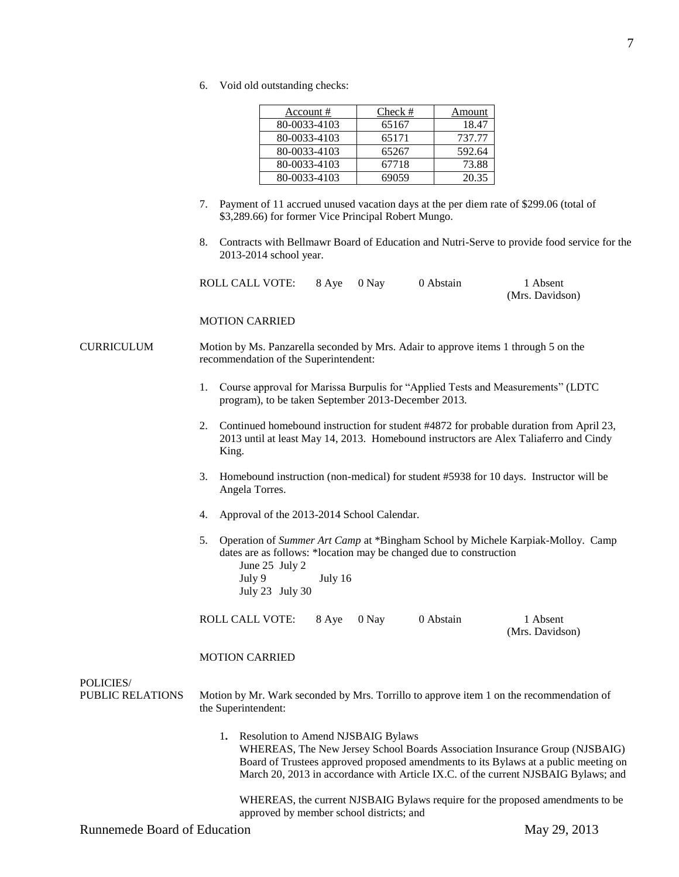6. Void old outstanding checks:

| Account #    | Check # | Amount |
|--------------|---------|--------|
| 80-0033-4103 | 65167   | 18.47  |
| 80-0033-4103 | 65171   | 737.77 |
| 80-0033-4103 | 65267   | 592.64 |
| 80-0033-4103 | 67718   | 73.88  |
| 80-0033-4103 | 69059   | 20.35  |

- 7. Payment of 11 accrued unused vacation days at the per diem rate of \$299.06 (total of \$3,289.66) for former Vice Principal Robert Mungo.
- 8. Contracts with Bellmawr Board of Education and Nutri-Serve to provide food service for the 2013-2014 school year.

| ROLL CALL VOTE: | 8 Aye 0 Nay | 0 Abstain | 1 Absent        |
|-----------------|-------------|-----------|-----------------|
|                 |             |           | (Mrs. Davidson) |

#### MOTION CARRIED

CURRICULUM Motion by Ms. Panzarella seconded by Mrs. Adair to approve items 1 through 5 on the recommendation of the Superintendent:

- 1. Course approval for Marissa Burpulis for "Applied Tests and Measurements" (LDTC program), to be taken September 2013-December 2013.
- 2. Continued homebound instruction for student #4872 for probable duration from April 23, 2013 until at least May 14, 2013. Homebound instructors are Alex Taliaferro and Cindy King.
- 3. Homebound instruction (non-medical) for student #5938 for 10 days. Instructor will be Angela Torres.
- 4. Approval of the 2013-2014 School Calendar.
- 5. Operation of *Summer Art Camp* at \*Bingham School by Michele Karpiak-Molloy. Camp dates are as follows: \*location may be changed due to construction
	- June 25 July 2 July 9 July 16 July 23 July 30

ROLL CALL VOTE: 8 Aye 0 Nay 0 Abstain 1 Absent

(Mrs. Davidson)

#### MOTION CARRIED

POLICIES/

PUBLIC RELATIONS Motion by Mr. Wark seconded by Mrs. Torrillo to approve item 1 on the recommendation of the Superintendent:

> 1**.** Resolution to Amend NJSBAIG Bylaws WHEREAS, The New Jersey School Boards Association Insurance Group (NJSBAIG) Board of Trustees approved proposed amendments to its Bylaws at a public meeting on March 20, 2013 in accordance with Article IX.C. of the current NJSBAIG Bylaws; and

WHEREAS, the current NJSBAIG Bylaws require for the proposed amendments to be approved by member school districts; and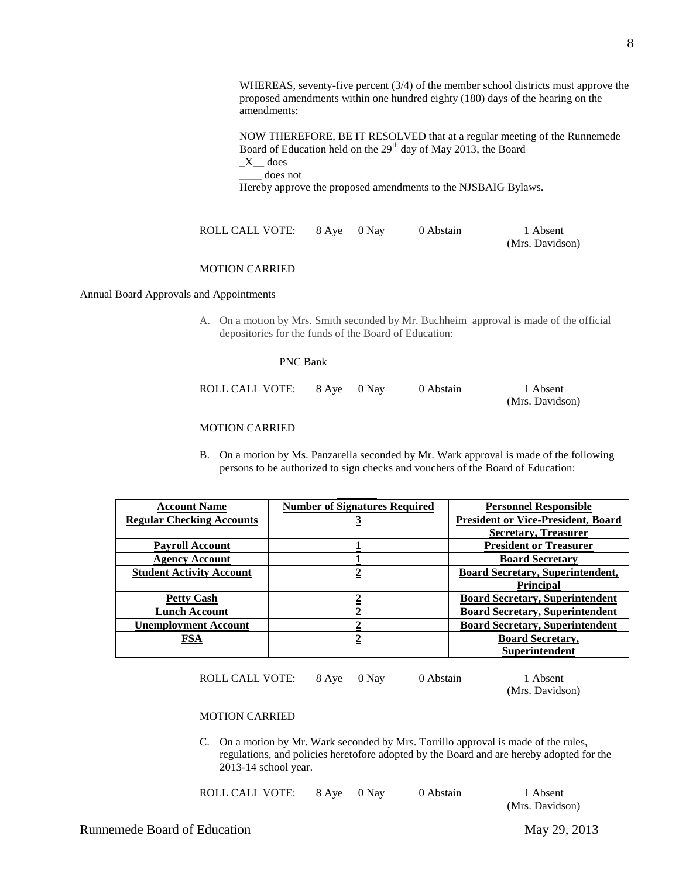WHEREAS, seventy-five percent (3/4) of the member school districts must approve the proposed amendments within one hundred eighty (180) days of the hearing on the amendments:

NOW THEREFORE, BE IT RESOLVED that at a regular meeting of the Runnemede Board of Education held on the 29<sup>th</sup> day of May 2013, the Board  $X$  does

\_\_\_\_ does not

Hereby approve the proposed amendments to the NJSBAIG Bylaws.

ROLL CALL VOTE: 8 Aye 0 Nay 0 Abstain 1 Absent (Mrs. Davidson)

# MOTION CARRIED

Annual Board Approvals and Appointments

A. On a motion by Mrs. Smith seconded by Mr. Buchheim approval is made of the official depositories for the funds of the Board of Education:

#### PNC Bank

| ROLL CALL VOTE: | 8 Aye 0 Nay | 0 Abstain | 1 Absent        |
|-----------------|-------------|-----------|-----------------|
|                 |             |           | (Mrs. Davidson) |

# MOTION CARRIED

B. On a motion by Ms. Panzarella seconded by Mr. Wark approval is made of the following persons to be authorized to sign checks and vouchers of the Board of Education:

| <b>Account Name</b>              | <b>Number of Signatures Required</b> | <b>Personnel Responsible</b>              |
|----------------------------------|--------------------------------------|-------------------------------------------|
| <b>Regular Checking Accounts</b> | <u>ୁ</u>                             | <b>President or Vice-President, Board</b> |
|                                  |                                      | <b>Secretary, Treasurer</b>               |
| <b>Payroll Account</b>           |                                      | <b>President or Treasurer</b>             |
| <b>Agency Account</b>            |                                      | <b>Board Secretary</b>                    |
| <b>Student Activity Account</b>  |                                      | <b>Board Secretary, Superintendent,</b>   |
|                                  |                                      | <b>Principal</b>                          |
| <b>Petty Cash</b>                |                                      | <b>Board Secretary, Superintendent</b>    |
| <b>Lunch Account</b>             |                                      | <b>Board Secretary, Superintendent</b>    |
| <b>Unemployment Account</b>      |                                      | <b>Board Secretary, Superintendent</b>    |
| FSA                              |                                      | <b>Board Secretary,</b>                   |
|                                  |                                      | <b>Superintendent</b>                     |
|                                  |                                      |                                           |

ROLL CALL VOTE: 8 Aye 0 Nay 0 Abstain 1 Absent

(Mrs. Davidson)

#### MOTION CARRIED

C. On a motion by Mr. Wark seconded by Mrs. Torrillo approval is made of the rules, regulations, and policies heretofore adopted by the Board and are hereby adopted for the 2013-14 school year.

|  | ROLL CALL VOTE: |  | 8 Ave 0 Nav | 0 Abstain | 1 Absent |
|--|-----------------|--|-------------|-----------|----------|
|--|-----------------|--|-------------|-----------|----------|

(Mrs. Davidson)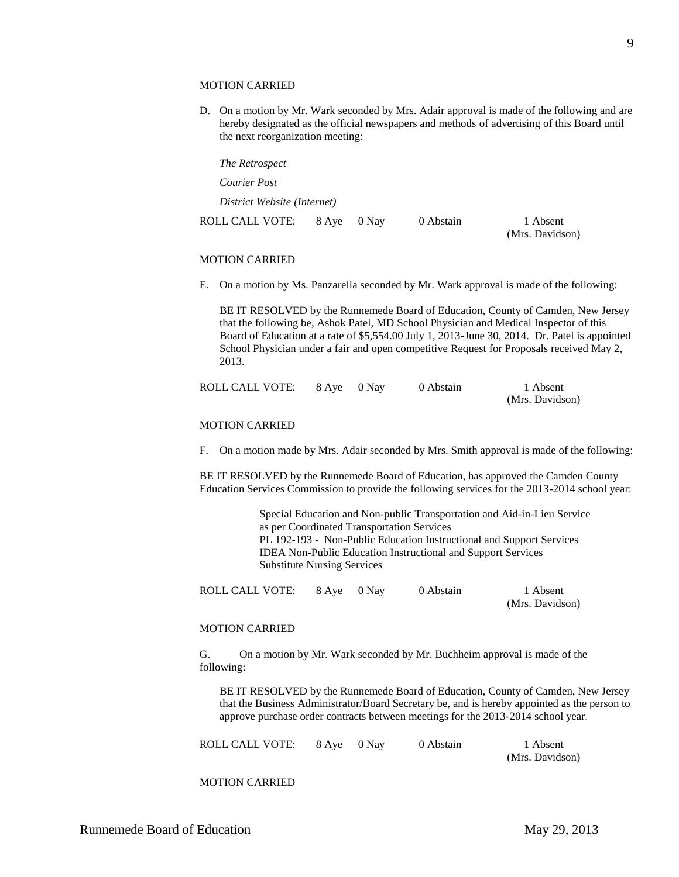#### MOTION CARRIED

D. On a motion by Mr. Wark seconded by Mrs. Adair approval is made of the following and are hereby designated as the official newspapers and methods of advertising of this Board until the next reorganization meeting:

| The Retrospect              |       |       |           |                             |
|-----------------------------|-------|-------|-----------|-----------------------------|
| Courier Post                |       |       |           |                             |
| District Website (Internet) |       |       |           |                             |
| ROLL CALL VOTE:             | 8 Aye | 0 Nay | 0 Abstain | 1 Absent<br>(Mrs. Davidson) |

#### MOTION CARRIED

E. On a motion by Ms. Panzarella seconded by Mr. Wark approval is made of the following:

BE IT RESOLVED by the Runnemede Board of Education, County of Camden, New Jersey that the following be, Ashok Patel, MD School Physician and Medical Inspector of this Board of Education at a rate of \$5,554.00 July 1, 2013-June 30, 2014. Dr. Patel is appointed School Physician under a fair and open competitive Request for Proposals received May 2, 2013.

| ROLL CALL VOTE: | 8 Aye 0 Nay | 0 Abstain | 1 Absent        |
|-----------------|-------------|-----------|-----------------|
|                 |             |           | (Mrs. Davidson) |

#### MOTION CARRIED

F. On a motion made by Mrs. Adair seconded by Mrs. Smith approval is made of the following:

BE IT RESOLVED by the Runnemede Board of Education, has approved the Camden County Education Services Commission to provide the following services for the 2013-2014 school year:

> Special Education and Non-public Transportation and Aid-in-Lieu Service as per Coordinated Transportation Services PL 192-193 - Non-Public Education Instructional and Support Services IDEA Non-Public Education Instructional and Support Services Substitute Nursing Services

| ROLL CALL VOTE: | 8 Aye 0 Nay | 0 Abstain | 1 Absent        |
|-----------------|-------------|-----------|-----------------|
|                 |             |           | (Mrs. Davidson) |

#### MOTION CARRIED

G. On a motion by Mr. Wark seconded by Mr. Buchheim approval is made of the following:

BE IT RESOLVED by the Runnemede Board of Education, County of Camden, New Jersey that the Business Administrator/Board Secretary be, and is hereby appointed as the person to approve purchase order contracts between meetings for the 2013-2014 school year*.*

|  | ROLL CALL VOTE:<br>8 Aye 0 Nay |  |
|--|--------------------------------|--|
|--|--------------------------------|--|

0 Abstain 1 Absent (Mrs. Davidson)

MOTION CARRIED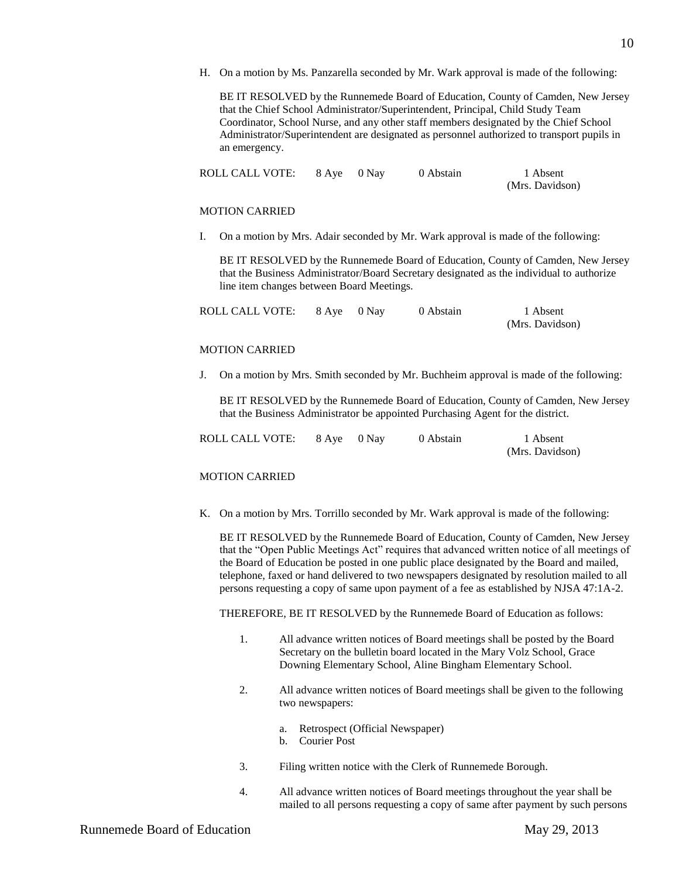H. On a motion by Ms. Panzarella seconded by Mr. Wark approval is made of the following:

BE IT RESOLVED by the Runnemede Board of Education, County of Camden, New Jersey that the Chief School Administrator/Superintendent, Principal, Child Study Team Coordinator, School Nurse, and any other staff members designated by the Chief School Administrator/Superintendent are designated as personnel authorized to transport pupils in an emergency.

| ROLL CALL VOTE: | 8 Aye 0 Nay | 0 Abstain | 1 Absent        |
|-----------------|-------------|-----------|-----------------|
|                 |             |           | (Mrs. Davidson) |

#### MOTION CARRIED

I. On a motion by Mrs. Adair seconded by Mr. Wark approval is made of the following:

BE IT RESOLVED by the Runnemede Board of Education, County of Camden, New Jersey that the Business Administrator/Board Secretary designated as the individual to authorize line item changes between Board Meetings.

| ROLL CALL VOTE: | 8 Aye 0 Nay | 0 Abstain | 1 Absent        |
|-----------------|-------------|-----------|-----------------|
|                 |             |           | (Mrs. Davidson) |

# MOTION CARRIED

J. On a motion by Mrs. Smith seconded by Mr. Buchheim approval is made of the following:

BE IT RESOLVED by the Runnemede Board of Education, County of Camden, New Jersey that the Business Administrator be appointed Purchasing Agent for the district.

| ROLL CALL VOTE: | 8 Aye 0 Nay | 0 Abstain | 1 Absent        |
|-----------------|-------------|-----------|-----------------|
|                 |             |           | (Mrs. Davidson) |

#### MOTION CARRIED

K. On a motion by Mrs. Torrillo seconded by Mr. Wark approval is made of the following:

BE IT RESOLVED by the Runnemede Board of Education, County of Camden, New Jersey that the "Open Public Meetings Act" requires that advanced written notice of all meetings of the Board of Education be posted in one public place designated by the Board and mailed, telephone, faxed or hand delivered to two newspapers designated by resolution mailed to all persons requesting a copy of same upon payment of a fee as established by NJSA 47:1A-2.

THEREFORE, BE IT RESOLVED by the Runnemede Board of Education as follows:

- 1. All advance written notices of Board meetings shall be posted by the Board Secretary on the bulletin board located in the Mary Volz School, Grace Downing Elementary School, Aline Bingham Elementary School.
- 2. All advance written notices of Board meetings shall be given to the following two newspapers:
	- a. Retrospect (Official Newspaper)
	- b. Courier Post
- 3. Filing written notice with the Clerk of Runnemede Borough.
- 4. All advance written notices of Board meetings throughout the year shall be mailed to all persons requesting a copy of same after payment by such persons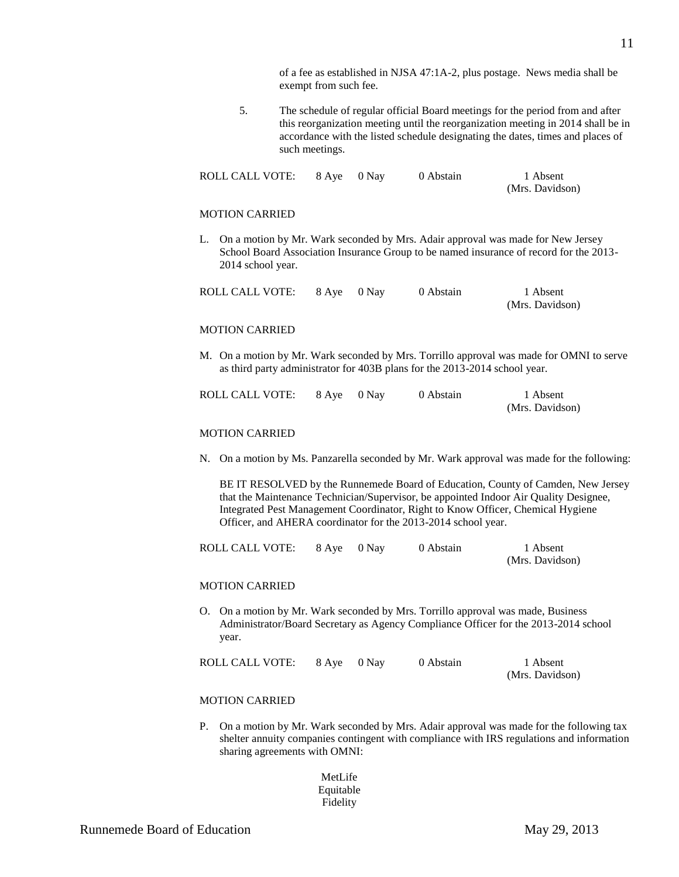of a fee as established in NJSA 47:1A-2, plus postage. News media shall be exempt from such fee.

5. The schedule of regular official Board meetings for the period from and after this reorganization meeting until the reorganization meeting in 2014 shall be in accordance with the listed schedule designating the dates, times and places of such meetings.

| ROLL CALL VOTE: | 8 Aye 0 Nay | 0 Abstain | 1 Absent        |
|-----------------|-------------|-----------|-----------------|
|                 |             |           | (Mrs. Davidson) |

#### MOTION CARRIED

L. On a motion by Mr. Wark seconded by Mrs. Adair approval was made for New Jersey School Board Association Insurance Group to be named insurance of record for the 2013- 2014 school year.

| ROLL CALL VOTE: | 8 Aye 0 Nay | 0 Abstain | 1 Absent        |
|-----------------|-------------|-----------|-----------------|
|                 |             |           | (Mrs. Davidson) |

#### MOTION CARRIED

M. On a motion by Mr. Wark seconded by Mrs. Torrillo approval was made for OMNI to serve as third party administrator for 403B plans for the 2013-2014 school year.

| ROLL CALL VOTE: | 8 Aye 0 Nay | 0 Abstain | 1 Absent        |
|-----------------|-------------|-----------|-----------------|
|                 |             |           | (Mrs. Davidson) |

# MOTION CARRIED

N. On a motion by Ms. Panzarella seconded by Mr. Wark approval was made for the following:

BE IT RESOLVED by the Runnemede Board of Education, County of Camden, New Jersey that the Maintenance Technician/Supervisor, be appointed Indoor Air Quality Designee, Integrated Pest Management Coordinator, Right to Know Officer, Chemical Hygiene Officer, and AHERA coordinator for the 2013-2014 school year.

| ROLL CALL VOTE: | 8 Aye 0 Nay | 0 Abstain | 1 Absent        |
|-----------------|-------------|-----------|-----------------|
|                 |             |           | (Mrs. Davidson) |

#### MOTION CARRIED

O. On a motion by Mr. Wark seconded by Mrs. Torrillo approval was made, Business Administrator/Board Secretary as Agency Compliance Officer for the 2013-2014 school year.

| ROLL CALL VOTE: | 8 Ave 0 Nav | 0 Abstain | 1 Absent        |
|-----------------|-------------|-----------|-----------------|
|                 |             |           | (Mrs. Davidson) |

#### MOTION CARRIED

P. On a motion by Mr. Wark seconded by Mrs. Adair approval was made for the following tax shelter annuity companies contingent with compliance with IRS regulations and information sharing agreements with OMNI:

> MetLife Equitable Fidelity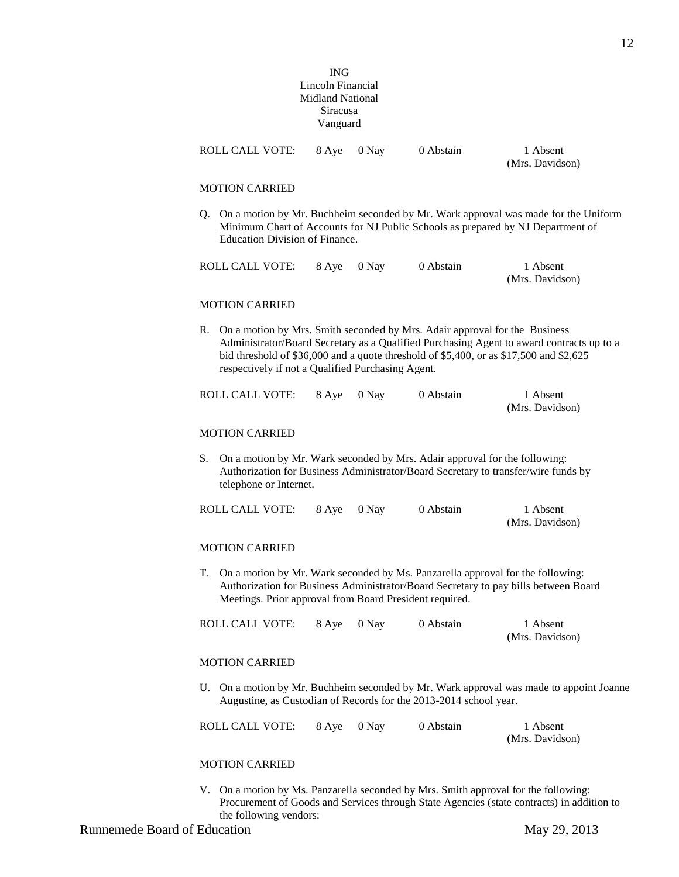|                                                                                                                                                                                                                                                                                                                             |                                | <b>ING</b><br>Lincoln Financial<br><b>Midland National</b><br><b>Siracusa</b><br>Vanguard |       |           |                                                                                                                                                                       |
|-----------------------------------------------------------------------------------------------------------------------------------------------------------------------------------------------------------------------------------------------------------------------------------------------------------------------------|--------------------------------|-------------------------------------------------------------------------------------------|-------|-----------|-----------------------------------------------------------------------------------------------------------------------------------------------------------------------|
|                                                                                                                                                                                                                                                                                                                             | <b>ROLL CALL VOTE:</b>         | 8 Aye                                                                                     | 0 Nay | 0 Abstain | 1 Absent<br>(Mrs. Davidson)                                                                                                                                           |
|                                                                                                                                                                                                                                                                                                                             | <b>MOTION CARRIED</b>          |                                                                                           |       |           |                                                                                                                                                                       |
| Q.                                                                                                                                                                                                                                                                                                                          | Education Division of Finance. |                                                                                           |       |           | On a motion by Mr. Buchheim seconded by Mr. Wark approval was made for the Uniform<br>Minimum Chart of Accounts for NJ Public Schools as prepared by NJ Department of |
|                                                                                                                                                                                                                                                                                                                             | <b>ROLL CALL VOTE:</b>         | 8 Aye                                                                                     | 0 Nay | 0 Abstain | 1 Absent<br>(Mrs. Davidson)                                                                                                                                           |
|                                                                                                                                                                                                                                                                                                                             | <b>MOTION CARRIED</b>          |                                                                                           |       |           |                                                                                                                                                                       |
| On a motion by Mrs. Smith seconded by Mrs. Adair approval for the Business<br>R.<br>Administrator/Board Secretary as a Qualified Purchasing Agent to award contracts up to a<br>bid threshold of \$36,000 and a quote threshold of \$5,400, or as \$17,500 and \$2,625<br>respectively if not a Qualified Purchasing Agent. |                                |                                                                                           |       |           |                                                                                                                                                                       |
|                                                                                                                                                                                                                                                                                                                             | <b>ROLL CALL VOTE:</b>         | 8 Aye                                                                                     | 0 Nay | 0 Abstain | 1 Absent<br>(Mrs. Davidson)                                                                                                                                           |
|                                                                                                                                                                                                                                                                                                                             | <b>MOTION CARRIED</b>          |                                                                                           |       |           |                                                                                                                                                                       |
| S.<br>On a motion by Mr. Wark seconded by Mrs. Adair approval for the following:<br>Authorization for Business Administrator/Board Secretary to transfer/wire funds by<br>telephone or Internet.                                                                                                                            |                                |                                                                                           |       |           |                                                                                                                                                                       |
|                                                                                                                                                                                                                                                                                                                             | <b>ROLL CALL VOTE:</b>         | 8 Aye                                                                                     | 0 Nay | 0 Abstain | 1 Absent<br>(Mrs. Davidson)                                                                                                                                           |
|                                                                                                                                                                                                                                                                                                                             | <b>MOTION CARRIED</b>          |                                                                                           |       |           |                                                                                                                                                                       |
| On a motion by Mr. Wark seconded by Ms. Panzarella approval for the following:<br>Т.<br>Authorization for Business Administrator/Board Secretary to pay bills between Board<br>Meetings. Prior approval from Board President required.                                                                                      |                                |                                                                                           |       |           |                                                                                                                                                                       |
|                                                                                                                                                                                                                                                                                                                             | <b>ROLL CALL VOTE:</b>         | 8 Aye                                                                                     | 0 Nay | 0 Abstain | 1 Absent<br>(Mrs. Davidson)                                                                                                                                           |
|                                                                                                                                                                                                                                                                                                                             | <b>MOTION CARRIED</b>          |                                                                                           |       |           |                                                                                                                                                                       |
| On a motion by Mr. Buchheim seconded by Mr. Wark approval was made to appoint Joanne<br>U.<br>Augustine, as Custodian of Records for the 2013-2014 school year.                                                                                                                                                             |                                |                                                                                           |       |           |                                                                                                                                                                       |
|                                                                                                                                                                                                                                                                                                                             | ROLL CALL VOTE:                | 8 Aye                                                                                     | 0 Nay | 0 Abstain | 1 Absent<br>(Mrs. Davidson)                                                                                                                                           |
|                                                                                                                                                                                                                                                                                                                             | <b>MOTION CARRIED</b>          |                                                                                           |       |           |                                                                                                                                                                       |

V. On a motion by Ms. Panzarella seconded by Mrs. Smith approval for the following: Procurement of Goods and Services through State Agencies (state contracts) in addition to the following vendors:

12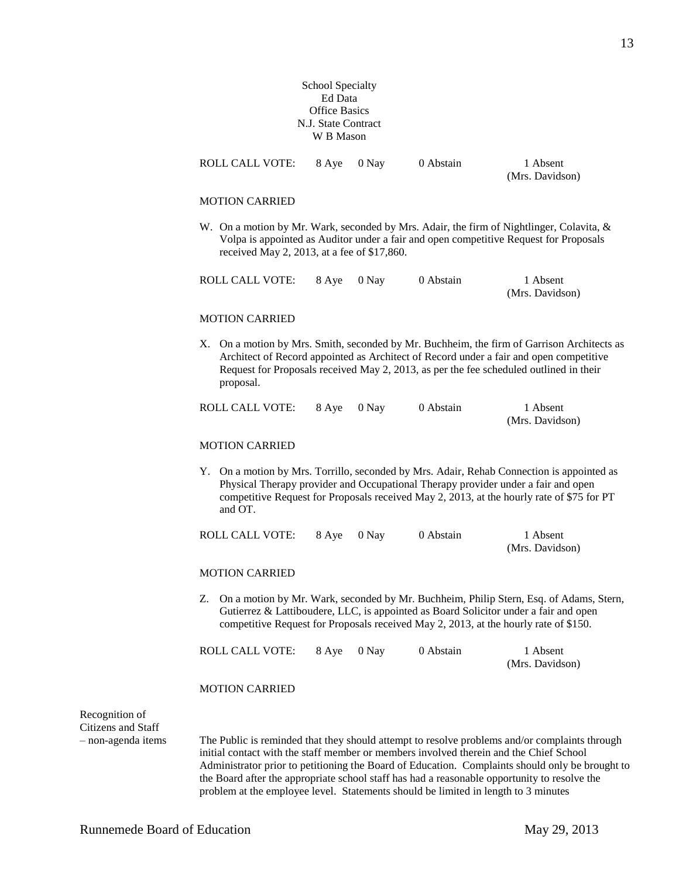# School Specialty Ed Data Office Basics N.J. State Contract W B Mason

|                                      |                                                                                                                                                                                                                                                                                        | <b>Office Basics</b><br>N.J. State Contract<br>W B Mason |         |           |                                                                                                                                                                                                                                                                                |
|--------------------------------------|----------------------------------------------------------------------------------------------------------------------------------------------------------------------------------------------------------------------------------------------------------------------------------------|----------------------------------------------------------|---------|-----------|--------------------------------------------------------------------------------------------------------------------------------------------------------------------------------------------------------------------------------------------------------------------------------|
|                                      | <b>ROLL CALL VOTE:</b>                                                                                                                                                                                                                                                                 | 8 Aye                                                    | 0 Nay   | 0 Abstain | 1 Absent<br>(Mrs. Davidson)                                                                                                                                                                                                                                                    |
|                                      | <b>MOTION CARRIED</b>                                                                                                                                                                                                                                                                  |                                                          |         |           |                                                                                                                                                                                                                                                                                |
|                                      | received May 2, 2013, at a fee of \$17,860.                                                                                                                                                                                                                                            |                                                          |         |           | W. On a motion by Mr. Wark, seconded by Mrs. Adair, the firm of Nightlinger, Colavita, &<br>Volpa is appointed as Auditor under a fair and open competitive Request for Proposals                                                                                              |
|                                      | <b>ROLL CALL VOTE:</b>                                                                                                                                                                                                                                                                 | 8 Aye                                                    | 0 Nay   | 0 Abstain | 1 Absent<br>(Mrs. Davidson)                                                                                                                                                                                                                                                    |
|                                      | <b>MOTION CARRIED</b>                                                                                                                                                                                                                                                                  |                                                          |         |           |                                                                                                                                                                                                                                                                                |
|                                      | proposal.                                                                                                                                                                                                                                                                              |                                                          |         |           | X. On a motion by Mrs. Smith, seconded by Mr. Buchheim, the firm of Garrison Architects as<br>Architect of Record appointed as Architect of Record under a fair and open competitive<br>Request for Proposals received May 2, 2013, as per the fee scheduled outlined in their |
|                                      | ROLL CALL VOTE:                                                                                                                                                                                                                                                                        | 8 Aye                                                    | $0$ Nay | 0 Abstain | 1 Absent<br>(Mrs. Davidson)                                                                                                                                                                                                                                                    |
|                                      | <b>MOTION CARRIED</b>                                                                                                                                                                                                                                                                  |                                                          |         |           |                                                                                                                                                                                                                                                                                |
|                                      | Y. On a motion by Mrs. Torrillo, seconded by Mrs. Adair, Rehab Connection is appointed as<br>Physical Therapy provider and Occupational Therapy provider under a fair and open<br>competitive Request for Proposals received May 2, 2013, at the hourly rate of \$75 for PT<br>and OT. |                                                          |         |           |                                                                                                                                                                                                                                                                                |
|                                      | ROLL CALL VOTE:                                                                                                                                                                                                                                                                        | 8 Aye                                                    | 0 Nay   | 0 Abstain | 1 Absent<br>(Mrs. Davidson)                                                                                                                                                                                                                                                    |
|                                      | <b>MOTION CARRIED</b>                                                                                                                                                                                                                                                                  |                                                          |         |           |                                                                                                                                                                                                                                                                                |
|                                      |                                                                                                                                                                                                                                                                                        |                                                          |         |           | Z. On a motion by Mr. Wark, seconded by Mr. Buchheim, Philip Stern, Esq. of Adams, Stern,<br>Gutierrez & Lattiboudere, LLC, is appointed as Board Solicitor under a fair and open<br>competitive Request for Proposals received May 2, 2013, at the hourly rate of \$150.      |
|                                      | ROLL CALL VOTE:                                                                                                                                                                                                                                                                        | 8 Aye                                                    | 0 Nay   | 0 Abstain | 1 Absent<br>(Mrs. Davidson)                                                                                                                                                                                                                                                    |
|                                      | <b>MOTION CARRIED</b>                                                                                                                                                                                                                                                                  |                                                          |         |           |                                                                                                                                                                                                                                                                                |
| Recognition of<br>Citizens and Staff |                                                                                                                                                                                                                                                                                        |                                                          |         |           |                                                                                                                                                                                                                                                                                |
| - non-agenda items                   |                                                                                                                                                                                                                                                                                        |                                                          |         |           | The Public is reminded that they should attempt to resolve problems and/or complaints through                                                                                                                                                                                  |

initial contact with the staff member or members involved therein and the Chief School Administrator prior to petitioning the Board of Education. Complaints should only be brought to the Board after the appropriate school staff has had a reasonable opportunity to resolve the problem at the employee level. Statements should be limited in length to 3 minutes

13